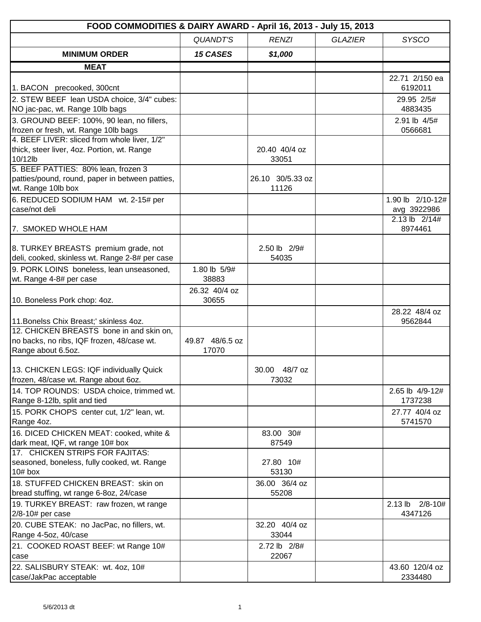| FOOD COMMODITIES & DAIRY AWARD - April 16, 2013 - July 15, 2013                        |                       |                           |                |                          |
|----------------------------------------------------------------------------------------|-----------------------|---------------------------|----------------|--------------------------|
|                                                                                        | <b>QUANDT'S</b>       | <b>RENZI</b>              | <b>GLAZIER</b> | <b>SYSCO</b>             |
| <b>MINIMUM ORDER</b>                                                                   | <b>15 CASES</b>       | \$1,000                   |                |                          |
| <b>MEAT</b>                                                                            |                       |                           |                |                          |
|                                                                                        |                       |                           |                | 22.71 2/150 ea           |
| 1. BACON precooked, 300cnt                                                             |                       |                           |                | 6192011                  |
| 2. STEW BEEF lean USDA choice, 3/4" cubes:                                             |                       |                           |                | 29.95 2/5#               |
| NO jac-pac, wt. Range 10lb bags                                                        |                       |                           |                | 4883435                  |
| 3. GROUND BEEF: 100%, 90 lean, no fillers,                                             |                       |                           |                | 2.91 lb 4/5#             |
| frozen or fresh, wt. Range 10lb bags                                                   |                       |                           |                | 0566681                  |
| 4. BEEF LIVER: sliced from whole liver, 1/2"                                           |                       |                           |                |                          |
| thick, steer liver, 4oz. Portion, wt. Range<br>10/12lb                                 |                       | 20.40 40/4 oz<br>33051    |                |                          |
| 5. BEEF PATTIES: 80% lean, frozen 3                                                    |                       |                           |                |                          |
| patties/pound, round, paper in between patties,<br>wt. Range 10lb box                  |                       | 26.10 30/5.33 oz<br>11126 |                |                          |
| 6. REDUCED SODIUM HAM wt. 2-15# per                                                    |                       |                           |                | 1.90 lb 2/10-12#         |
| case/not deli                                                                          |                       |                           |                | avg 3922986              |
| 7. SMOKED WHOLE HAM                                                                    |                       |                           |                | 2.13 lb 2/14#<br>8974461 |
|                                                                                        |                       |                           |                |                          |
| 8. TURKEY BREASTS premium grade, not                                                   |                       | 2.50 lb 2/9#              |                |                          |
| deli, cooked, skinless wt. Range 2-8# per case                                         |                       | 54035                     |                |                          |
| 9. PORK LOINS boneless, lean unseasoned,<br>wt. Range 4-8# per case                    | 1.80 lb 5/9#<br>38883 |                           |                |                          |
|                                                                                        | 26.32 40/4 oz         |                           |                |                          |
| 10. Boneless Pork chop: 4oz.                                                           | 30655                 |                           |                |                          |
|                                                                                        |                       |                           |                | 28.22 48/4 oz            |
| 11. Bonelss Chix Breast;' skinless 4oz.                                                |                       |                           |                | 9562844                  |
| 12. CHICKEN BREASTS bone in and skin on.<br>no backs, no ribs, IQF frozen, 48/case wt. | 49.87 48/6.5 oz       |                           |                |                          |
| Range about 6.5oz.                                                                     | 17070                 |                           |                |                          |
|                                                                                        |                       |                           |                |                          |
| 113. CHICKEN LEGS: IQF individually Quick                                              |                       | $48/7$ oz<br>30.00        |                |                          |
| frozen, 48/case wt. Range about 6oz.                                                   |                       | 73032                     |                |                          |
| 14. TOP ROUNDS: USDA choice, trimmed wt.                                               |                       |                           |                | 2.65 lb 4/9-12#          |
| Range 8-12lb, split and tied                                                           |                       |                           |                | 1737238                  |
| 15. PORK CHOPS center cut, 1/2" lean, wt.                                              |                       |                           |                | 27.77 40/4 oz            |
| Range 4oz.                                                                             |                       |                           |                | 5741570                  |
| 16. DICED CHICKEN MEAT: cooked, white &                                                |                       | 83.00 30#                 |                |                          |
| dark meat, IQF, wt range 10# box                                                       |                       | 87549                     |                |                          |
| 17. CHICKEN STRIPS FOR FAJITAS:                                                        |                       | 27.80 10#                 |                |                          |
| seasoned, boneless, fully cooked, wt. Range<br>$10#$ box                               |                       | 53130                     |                |                          |
| 18. STUFFED CHICKEN BREAST: skin on                                                    |                       | 36.00 36/4 oz             |                |                          |
| bread stuffing, wt range 6-8oz, 24/case                                                |                       | 55208                     |                |                          |
| 19. TURKEY BREAST: raw frozen, wt range                                                |                       |                           |                | 2.13 lb 2/8-10#          |
| 2/8-10# per case                                                                       |                       |                           |                | 4347126                  |
| 20. CUBE STEAK: no JacPac, no fillers, wt.                                             |                       | 32.20 40/4 oz             |                |                          |
| Range 4-5oz, 40/case                                                                   |                       | 33044                     |                |                          |
| 21. COOKED ROAST BEEF: wt Range 10#                                                    |                       | 2.72 lb 2/8#              |                |                          |
| case                                                                                   |                       | 22067                     |                |                          |
| 22. SALISBURY STEAK: wt. 4oz, 10#                                                      |                       |                           |                | 43.60 120/4 oz           |
| case/JakPac acceptable                                                                 |                       |                           |                | 2334480                  |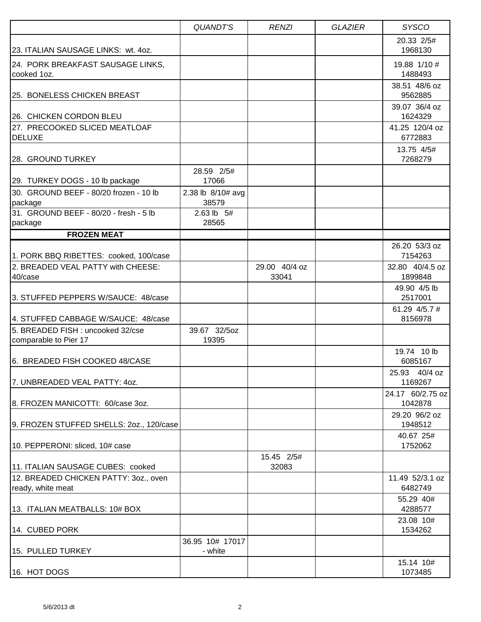|                                                            | <b>QUANDT'S</b>            | <b>RENZI</b>           | <b>GLAZIER</b> | <b>SYSCO</b>                |
|------------------------------------------------------------|----------------------------|------------------------|----------------|-----------------------------|
| 123. ITALIAN SAUSAGE LINKS: wt. 4oz.                       |                            |                        |                | 20.33 2/5#<br>1968130       |
| 24. PORK BREAKFAST SAUSAGE LINKS,<br>cooked 1oz.           |                            |                        |                | 19.88 1/10 #<br>1488493     |
| 25. BONELESS CHICKEN BREAST                                |                            |                        |                | 38.51 48/6 oz<br>9562885    |
| 26. CHICKEN CORDON BLEU                                    |                            |                        |                | 39.07 36/4 oz<br>1624329    |
| 27. PRECOOKED SLICED MEATLOAF<br><b>DELUXE</b>             |                            |                        |                | 41.25 120/4 oz<br>6772883   |
| 28. GROUND TURKEY                                          |                            |                        |                | 13.75 4/5#<br>7268279       |
| 29. TURKEY DOGS - 10 lb package                            | 28.59 2/5#<br>17066        |                        |                |                             |
| 30. GROUND BEEF - 80/20 frozen - 10 lb<br>package          | 2.38 lb 8/10# avg<br>38579 |                        |                |                             |
| 31. GROUND BEEF - 80/20 - fresh - 5 lb<br>package          | 2.63 lb 5#<br>28565        |                        |                |                             |
| <b>FROZEN MEAT</b>                                         |                            |                        |                |                             |
| 1. PORK BBQ RIBETTES: cooked, 100/case                     |                            |                        |                | 26.20 53/3 oz<br>7154263    |
| 2. BREADED VEAL PATTY with CHEESE:<br>40/case              |                            | 29.00 40/4 oz<br>33041 |                | 32.80 40/4.5 oz<br>1899848  |
| 3. STUFFED PEPPERS W/SAUCE: 48/case                        |                            |                        |                | 49.90 4/5 lb<br>2517001     |
| 4. STUFFED CABBAGE W/SAUCE: 48/case                        |                            |                        |                | 61.29 4/5.7 #<br>8156978    |
| 5. BREADED FISH : uncooked 32/cse<br>comparable to Pier 17 | 39.67 32/5oz<br>19395      |                        |                |                             |
| 6. BREADED FISH COOKED 48/CASE                             |                            |                        |                | 19.74 10 lb<br>6085167      |
| 7. UNBREADED VEAL PATTY: 4oz.                              |                            |                        |                | 25.93 40/4 oz<br>1169267    |
| 8. FROZEN MANICOTTI: 60/case 3oz.                          |                            |                        |                | 24.17 60/2.75 oz<br>1042878 |
| 9. FROZEN STUFFED SHELLS: 20z., 120/case                   |                            |                        |                | 29.20 96/2 oz<br>1948512    |
| 10. PEPPERONI: sliced, 10# case                            |                            |                        |                | 40.67 25#<br>1752062        |
| 11. ITALIAN SAUSAGE CUBES: cooked                          |                            | 15.45 2/5#<br>32083    |                |                             |
| 12. BREADED CHICKEN PATTY: 30Z., oven<br>ready, white meat |                            |                        |                | 11.49 52/3.1 oz<br>6482749  |
| 13. ITALIAN MEATBALLS: 10# BOX                             |                            |                        |                | 55.29 40#<br>4288577        |
| 14. CUBED PORK                                             |                            |                        |                | 23.08 10#<br>1534262        |
| 15. PULLED TURKEY                                          | 36.95 10# 17017<br>- white |                        |                |                             |
| 16. HOT DOGS                                               |                            |                        |                | 15.14 10#<br>1073485        |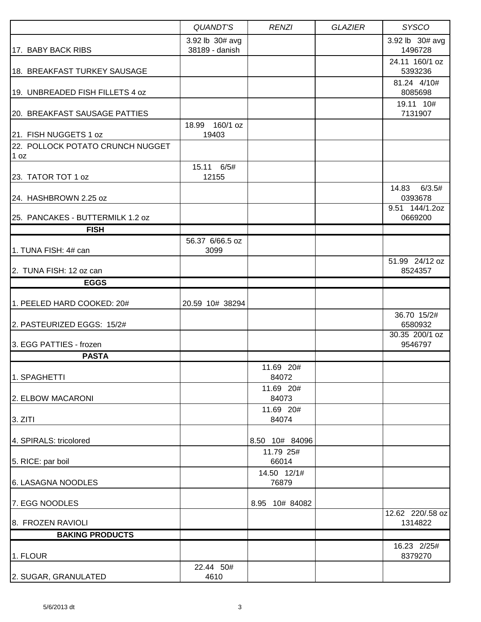|                                          | <b>QUANDT'S</b>                   | <b>RENZI</b>         | <b>GLAZIER</b> | <b>SYSCO</b>               |
|------------------------------------------|-----------------------------------|----------------------|----------------|----------------------------|
| 17. BABY BACK RIBS                       | 3.92 lb 30# avg<br>38189 - danish |                      |                | 3.92 lb 30# avg<br>1496728 |
| 18. BREAKFAST TURKEY SAUSAGE             |                                   |                      |                | 24.11 160/1 oz<br>5393236  |
| 19. UNBREADED FISH FILLETS 4 oz          |                                   |                      |                | 81.24 4/10#<br>8085698     |
| 20. BREAKFAST SAUSAGE PATTIES            |                                   |                      |                | 19.11 10#<br>7131907       |
| 21. FISH NUGGETS 1 oz                    | 18.99 160/1 oz<br>19403           |                      |                |                            |
| 22. POLLOCK POTATO CRUNCH NUGGET<br>1 oz |                                   |                      |                |                            |
| 23. TATOR TOT 1 oz                       | 15.11 6/5#<br>12155               |                      |                |                            |
| 24. HASHBROWN 2.25 oz                    |                                   |                      |                | 6/3.5#<br>14.83<br>0393678 |
| 25. PANCAKES - BUTTERMILK 1.2 oz         |                                   |                      |                | 9.51 144/1.2oz<br>0669200  |
| <b>FISH</b>                              |                                   |                      |                |                            |
| 1. TUNA FISH: 4# can                     | 56.37 6/66.5 oz<br>3099           |                      |                |                            |
| 2. TUNA FISH: 12 oz can                  |                                   |                      |                | 51.99 24/12 oz<br>8524357  |
| <b>EGGS</b>                              |                                   |                      |                |                            |
| 1. PEELED HARD COOKED: 20#               | 20.59 10# 38294                   |                      |                |                            |
| 2. PASTEURIZED EGGS: 15/2#               |                                   |                      |                | 36.70 15/2#<br>6580932     |
| 3. EGG PATTIES - frozen                  |                                   |                      |                | 30.35 200/1 oz<br>9546797  |
| <b>PASTA</b>                             |                                   |                      |                |                            |
| 1. SPAGHETTI                             |                                   | 11.69 20#<br>84072   |                |                            |
| 2. ELBOW MACARONI                        |                                   | 11.69 20#<br>84073   |                |                            |
| 3. ZITI                                  |                                   | 11.69 20#<br>84074   |                |                            |
| 4. SPIRALS: tricolored                   |                                   | 8.50 10# 84096       |                |                            |
| 5. RICE: par boil                        |                                   | 11.79 25#<br>66014   |                |                            |
| 6. LASAGNA NOODLES                       |                                   | 14.50 12/1#<br>76879 |                |                            |
| 7. EGG NOODLES                           |                                   | 8.95 10# 84082       |                | 12.62 220/.58 oz           |
| 8. FROZEN RAVIOLI                        |                                   |                      |                | 1314822                    |
| <b>BAKING PRODUCTS</b>                   |                                   |                      |                |                            |
| 1. FLOUR                                 |                                   |                      |                | 16.23 2/25#<br>8379270     |
| 2. SUGAR, GRANULATED                     | 22.44 50#<br>4610                 |                      |                |                            |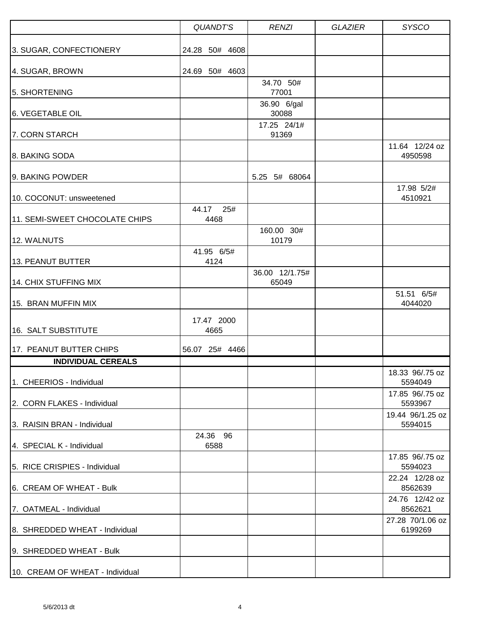|                                 | <b>QUANDT'S</b>      | <b>RENZI</b>            | <b>GLAZIER</b> | <b>SYSCO</b>                |
|---------------------------------|----------------------|-------------------------|----------------|-----------------------------|
| 3. SUGAR, CONFECTIONERY         | 24.28 50# 4608       |                         |                |                             |
| 4. SUGAR, BROWN                 | 24.69 50# 4603       |                         |                |                             |
| 5. SHORTENING                   |                      | 34.70 50#<br>77001      |                |                             |
| 6. VEGETABLE OIL                |                      | 36.90 6/gal<br>30088    |                |                             |
| 7. CORN STARCH                  |                      | 17.25 24/1#<br>91369    |                |                             |
| 8. BAKING SODA                  |                      |                         |                | 11.64 12/24 oz<br>4950598   |
| 9. BAKING POWDER                |                      | 5.25 5# 68064           |                | 17.98 5/2#                  |
| 10. COCONUT: unsweetened        |                      |                         |                | 4510921                     |
| 11. SEMI-SWEET CHOCOLATE CHIPS  | 44.17<br>25#<br>4468 |                         |                |                             |
| 12. WALNUTS                     |                      | 160.00 30#<br>10179     |                |                             |
| 13. PEANUT BUTTER               | 41.95 6/5#<br>4124   |                         |                |                             |
| 14. CHIX STUFFING MIX           |                      | 36.00 12/1.75#<br>65049 |                |                             |
| 15. BRAN MUFFIN MIX             |                      |                         |                | 51.51 6/5#<br>4044020       |
| 16. SALT SUBSTITUTE             | 17.47 2000<br>4665   |                         |                |                             |
| 17. PEANUT BUTTER CHIPS         | 56.07 25# 4466       |                         |                |                             |
| <b>INDIVIDUAL CEREALS</b>       |                      |                         |                |                             |
| 1. CHEERIOS - Individual        |                      |                         |                | 18.33 96/.75 oz<br>5594049  |
| 2. CORN FLAKES - Individual     |                      |                         |                | 17.85 96/.75 oz<br>5593967  |
| 3. RAISIN BRAN - Individual     |                      |                         |                | 19.44 96/1.25 oz<br>5594015 |
| 4. SPECIAL K - Individual       | 24.36 96<br>6588     |                         |                |                             |
| 5. RICE CRISPIES - Individual   |                      |                         |                | 17.85 96/.75 oz<br>5594023  |
| 6. CREAM OF WHEAT - Bulk        |                      |                         |                | 22.24 12/28 oz<br>8562639   |
| 7. OATMEAL - Individual         |                      |                         |                | 24.76 12/42 oz<br>8562621   |
| 8. SHREDDED WHEAT - Individual  |                      |                         |                | 27.28 70/1.06 oz<br>6199269 |
| 9. SHREDDED WHEAT - Bulk        |                      |                         |                |                             |
| 10. CREAM OF WHEAT - Individual |                      |                         |                |                             |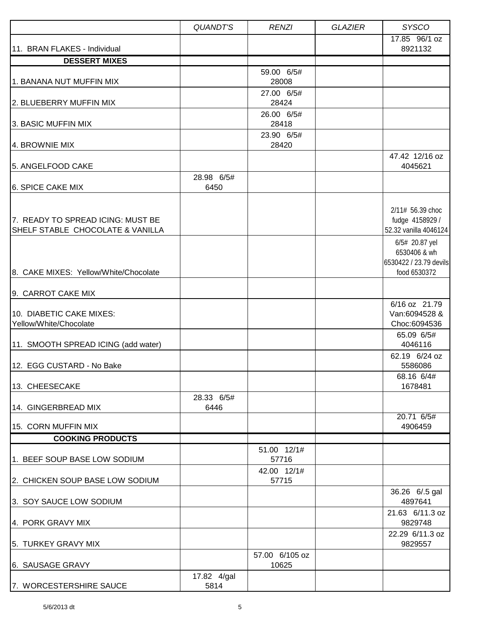|                                                                       | <b>QUANDT'S</b>     | <b>RENZI</b>                        | <b>GLAZIER</b> | <b>SYSCO</b>                                                                                   |
|-----------------------------------------------------------------------|---------------------|-------------------------------------|----------------|------------------------------------------------------------------------------------------------|
| 11. BRAN FLAKES - Individual                                          |                     |                                     |                | 17.85 96/1 oz<br>8921132                                                                       |
| <b>DESSERT MIXES</b>                                                  |                     |                                     |                |                                                                                                |
| 1. BANANA NUT MUFFIN MIX                                              |                     | 59.00 6/5#<br>28008                 |                |                                                                                                |
| 2. BLUEBERRY MUFFIN MIX                                               |                     | 27.00 6/5#<br>28424                 |                |                                                                                                |
| 3. BASIC MUFFIN MIX                                                   |                     | 26.00 6/5#<br>28418<br>23.90 6/5#   |                |                                                                                                |
| 4. BROWNIE MIX                                                        |                     | 28420                               |                |                                                                                                |
| 5. ANGELFOOD CAKE                                                     |                     |                                     |                | 47.42 12/16 oz<br>4045621                                                                      |
| 6. SPICE CAKE MIX                                                     | 28.98 6/5#<br>6450  |                                     |                |                                                                                                |
| 7. READY TO SPREAD ICING: MUST BE<br>SHELF STABLE CHOCOLATE & VANILLA |                     |                                     |                | 2/11# 56.39 choc<br>fudge 4158929 /<br>52.32 vanilla 4046124<br>6/5# 20.87 yel<br>6530406 & wh |
| 8. CAKE MIXES: Yellow/White/Chocolate                                 |                     |                                     |                | 6530422 / 23.79 devils<br>food 6530372                                                         |
| 9. CARROT CAKE MIX                                                    |                     |                                     |                |                                                                                                |
| 10. DIABETIC CAKE MIXES:<br>Yellow/White/Chocolate                    |                     |                                     |                | 6/16 oz 21.79<br>Van:6094528 &<br>Choc:6094536                                                 |
| 11. SMOOTH SPREAD ICING (add water)                                   |                     |                                     |                | 65.09 6/5#<br>4046116                                                                          |
| 12. EGG CUSTARD - No Bake                                             |                     |                                     |                | 62.19 6/24 oz<br>5586086                                                                       |
| 13. CHEESECAKE                                                        |                     |                                     |                | 68.16 6/4#<br>1678481                                                                          |
| 14. GINGERBREAD MIX                                                   | 28.33 6/5#<br>6446  |                                     |                |                                                                                                |
| 15. CORN MUFFIN MIX                                                   |                     |                                     |                | 20.71 6/5#<br>4906459                                                                          |
| <b>COOKING PRODUCTS</b>                                               |                     |                                     |                |                                                                                                |
| 1. BEEF SOUP BASE LOW SODIUM                                          |                     | 51.00 12/1#<br>57716<br>42.00 12/1# |                |                                                                                                |
| 2. CHICKEN SOUP BASE LOW SODIUM                                       |                     | 57715                               |                |                                                                                                |
| 3. SOY SAUCE LOW SODIUM                                               |                     |                                     |                | 36.26 6/.5 gal<br>4897641                                                                      |
| 4. PORK GRAVY MIX                                                     |                     |                                     |                | 21.63 6/11.3 oz<br>9829748                                                                     |
| 5. TURKEY GRAVY MIX                                                   |                     |                                     |                | 22.29 6/11.3 oz<br>9829557                                                                     |
| 6. SAUSAGE GRAVY                                                      |                     | 57.00 6/105 oz<br>10625             |                |                                                                                                |
| 7. WORCESTERSHIRE SAUCE                                               | 17.82 4/gal<br>5814 |                                     |                |                                                                                                |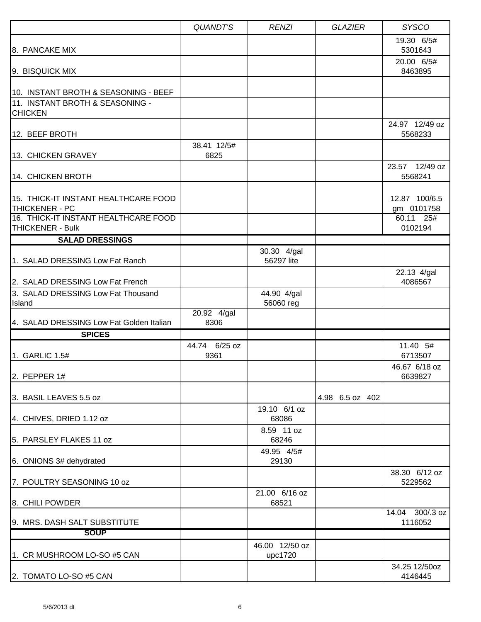|                                                                 | <b>QUANDT'S</b>       | <b>RENZI</b>              | <b>GLAZIER</b>  | <b>SYSCO</b>                |
|-----------------------------------------------------------------|-----------------------|---------------------------|-----------------|-----------------------------|
| 8. PANCAKE MIX                                                  |                       |                           |                 | 19.30 6/5#<br>5301643       |
| 9. BISQUICK MIX                                                 |                       |                           |                 | 20.00 6/5#<br>8463895       |
| 10. INSTANT BROTH & SEASONING - BEEF                            |                       |                           |                 |                             |
| 111. INSTANT BROTH & SEASONING -<br><b>CHICKEN</b>              |                       |                           |                 |                             |
| 12. BEEF BROTH                                                  |                       |                           |                 | 24.97 12/49 oz<br>5568233   |
| 13. CHICKEN GRAVEY                                              | 38.41 12/5#<br>6825   |                           |                 |                             |
| 14. CHICKEN BROTH                                               |                       |                           |                 | 23.57 12/49 oz<br>5568241   |
| 15. THICK-IT INSTANT HEALTHCARE FOOD<br><b>THICKENER - PC</b>   |                       |                           |                 | 12.87 100/6.5<br>gm 0101758 |
| 16. THICK-IT INSTANT HEALTHCARE FOOD<br><b>THICKENER - Bulk</b> |                       |                           |                 | 60.11 25#<br>0102194        |
| <b>SALAD DRESSINGS</b>                                          |                       |                           |                 |                             |
|                                                                 |                       | 30.30 4/gal               |                 |                             |
| 1. SALAD DRESSING Low Fat Ranch                                 |                       | 56297 lite                |                 | 22.13 4/gal                 |
| 2. SALAD DRESSING Low Fat French                                |                       |                           |                 | 4086567                     |
| 3. SALAD DRESSING Low Fat Thousand<br>Island                    |                       | 44.90 4/gal<br>56060 reg  |                 |                             |
| 4. SALAD DRESSING Low Fat Golden Italian                        | 20.92 4/gal<br>8306   |                           |                 |                             |
| <b>SPICES</b>                                                   |                       |                           |                 |                             |
| 1. GARLIC 1.5#                                                  | 44.74 6/25 oz<br>9361 |                           |                 | 11.40 5#<br>6713507         |
| 2. PEPPER $1#$                                                  |                       |                           |                 | 46.67 6/18 oz<br>6639827    |
| 3. BASIL LEAVES 5.5 oz                                          |                       |                           | 4.98 6.5 oz 402 |                             |
| 4. CHIVES, DRIED 1.12 oz                                        |                       | 19.10 6/1 oz<br>68086     |                 |                             |
| 5. PARSLEY FLAKES 11 oz                                         |                       | 8.59 11 oz<br>68246       |                 |                             |
| 6. ONIONS 3# dehydrated                                         |                       | 49.95 4/5#<br>29130       |                 |                             |
| 7. POULTRY SEASONING 10 oz                                      |                       |                           |                 | 38.30 6/12 oz<br>5229562    |
| 8. CHILI POWDER                                                 |                       | 21.00 6/16 oz<br>68521    |                 |                             |
| 9. MRS. DASH SALT SUBSTITUTE                                    |                       |                           |                 | 14.04 300/.3 oz<br>1116052  |
| <b>SOUP</b>                                                     |                       |                           |                 |                             |
| 1. CR MUSHROOM LO-SO #5 CAN                                     |                       | 46.00 12/50 oz<br>upc1720 |                 |                             |
| 2. TOMATO LO-SO #5 CAN                                          |                       |                           |                 | 34.25 12/50oz<br>4146445    |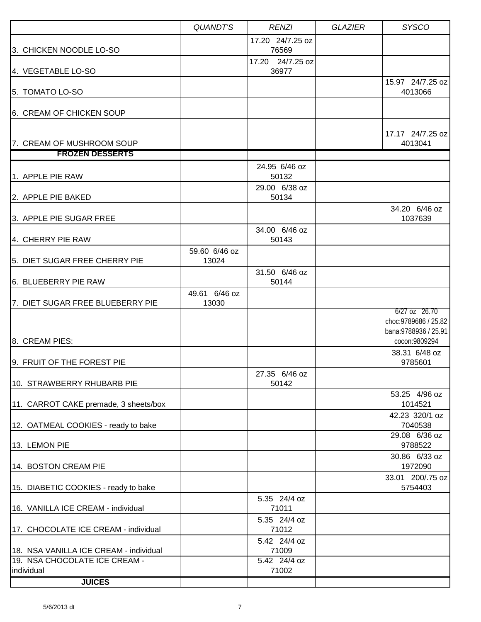|                                        | <b>QUANDT'S</b> | <b>RENZI</b>              | <b>GLAZIER</b> | <b>SYSCO</b>                                                        |
|----------------------------------------|-----------------|---------------------------|----------------|---------------------------------------------------------------------|
| 3. CHICKEN NOODLE LO-SO                |                 | 17.20 24/7.25 oz<br>76569 |                |                                                                     |
|                                        |                 | 17.20 24/7.25 oz          |                |                                                                     |
| 4. VEGETABLE LO-SO                     |                 | 36977                     |                |                                                                     |
| 5. TOMATO LO-SO                        |                 |                           |                | 15.97 24/7.25 oz<br>4013066                                         |
| 6. CREAM OF CHICKEN SOUP               |                 |                           |                |                                                                     |
|                                        |                 |                           |                | 17.17 24/7.25 oz                                                    |
| 7. CREAM OF MUSHROOM SOUP              |                 |                           |                | 4013041                                                             |
| <b>FROZEN DESSERTS</b>                 |                 |                           |                |                                                                     |
| 1. APPLE PIE RAW                       |                 | 24.95 6/46 oz<br>50132    |                |                                                                     |
|                                        |                 | 29.00 6/38 oz             |                |                                                                     |
| 2. APPLE PIE BAKED                     |                 | 50134                     |                |                                                                     |
| 3. APPLE PIE SUGAR FREE                |                 |                           |                | 34.20 6/46 oz<br>1037639                                            |
| 4. CHERRY PIE RAW                      |                 | 34.00 6/46 oz<br>50143    |                |                                                                     |
|                                        | 59.60 6/46 oz   |                           |                |                                                                     |
| 5. DIET SUGAR FREE CHERRY PIE          | 13024           |                           |                |                                                                     |
| 6. BLUEBERRY PIE RAW                   |                 | 31.50 6/46 oz<br>50144    |                |                                                                     |
|                                        | 49.61 6/46 oz   |                           |                |                                                                     |
| 7. DIET SUGAR FREE BLUEBERRY PIE       | 13030           |                           |                |                                                                     |
|                                        |                 |                           |                | $6/27$ oz $26.70$<br>choc: 9789686 / 25.82<br>bana: 9788936 / 25.91 |
| 8. CREAM PIES:                         |                 |                           |                | cocon:9809294<br>38.31 6/48 oz                                      |
| 9. FRUIT OF THE FOREST PIE             |                 |                           |                | 9785601                                                             |
| 10. STRAWBERRY RHUBARB PIE             |                 | 27.35 6/46 oz<br>50142    |                |                                                                     |
|                                        |                 |                           |                | 53.25 4/96 oz                                                       |
| 11. CARROT CAKE premade, 3 sheets/box  |                 |                           |                | 1014521<br>42.23 320/1 oz                                           |
| 12. OATMEAL COOKIES - ready to bake    |                 |                           |                | 7040538                                                             |
| 13. LEMON PIE                          |                 |                           |                | 29.08 6/36 oz<br>9788522                                            |
| 14. BOSTON CREAM PIE                   |                 |                           |                | 30.86 6/33 oz<br>1972090                                            |
| 15. DIABETIC COOKIES - ready to bake   |                 |                           |                | 33.01 200/.75 oz<br>5754403                                         |
| 16. VANILLA ICE CREAM - individual     |                 | 5.35 24/4 oz<br>71011     |                |                                                                     |
|                                        |                 | 5.35 24/4 oz              |                |                                                                     |
| 17. CHOCOLATE ICE CREAM - individual   |                 | 71012                     |                |                                                                     |
| 18. NSA VANILLA ICE CREAM - individual |                 | 5.42 24/4 oz<br>71009     |                |                                                                     |
| 19. NSA CHOCOLATE ICE CREAM -          |                 | 5.42 24/4 oz              |                |                                                                     |
| individual                             |                 | 71002                     |                |                                                                     |
| <b>JUICES</b>                          |                 |                           |                |                                                                     |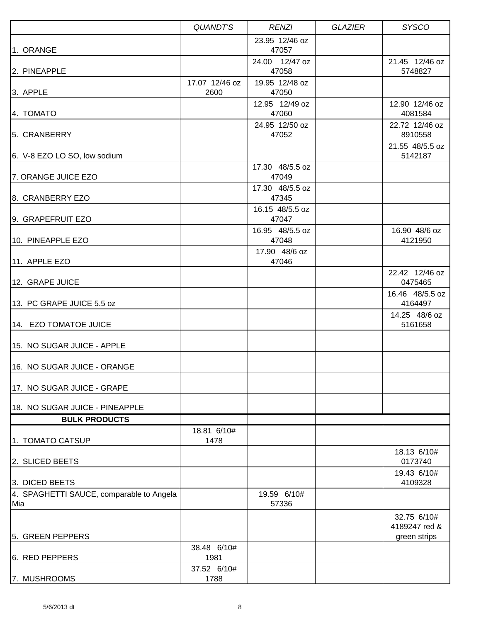|                                                 | QUANDT'S               | <b>RENZI</b>             | <b>GLAZIER</b> | <b>SYSCO</b>                                 |
|-------------------------------------------------|------------------------|--------------------------|----------------|----------------------------------------------|
| 1. ORANGE                                       |                        | 23.95 12/46 oz<br>47057  |                |                                              |
| 2. PINEAPPLE                                    |                        | 24.00 12/47 oz<br>47058  |                | 21.45 12/46 oz<br>5748827                    |
| 3. APPLE                                        | 17.07 12/46 oz<br>2600 | 19.95 12/48 oz<br>47050  |                |                                              |
| 4. TOMATO                                       |                        | 12.95 12/49 oz<br>47060  |                | 12.90 12/46 oz<br>4081584                    |
| 5. CRANBERRY                                    |                        | 24.95 12/50 oz<br>47052  |                | 22.72 12/46 oz<br>8910558                    |
| 6. V-8 EZO LO SO, low sodium                    |                        |                          |                | 21.55 48/5.5 oz<br>5142187                   |
| 7. ORANGE JUICE EZO                             |                        | 17.30 48/5.5 oz<br>47049 |                |                                              |
| 8. CRANBERRY EZO                                |                        | 17.30 48/5.5 oz<br>47345 |                |                                              |
| 9. GRAPEFRUIT EZO                               |                        | 16.15 48/5.5 oz<br>47047 |                |                                              |
| 10. PINEAPPLE EZO                               |                        | 16.95 48/5.5 oz<br>47048 |                | 16.90 48/6 oz<br>4121950                     |
| 11. APPLE EZO                                   |                        | 17.90 48/6 oz<br>47046   |                |                                              |
| 12. GRAPE JUICE                                 |                        |                          |                | 22.42 12/46 oz<br>0475465                    |
| 13. PC GRAPE JUICE 5.5 oz                       |                        |                          |                | 16.46 48/5.5 oz<br>4164497                   |
| 14. EZO TOMATOE JUICE                           |                        |                          |                | 14.25 48/6 oz<br>5161658                     |
| 15. NO SUGAR JUICE - APPLE                      |                        |                          |                |                                              |
| 16. NO SUGAR JUICE - ORANGE                     |                        |                          |                |                                              |
| 17. NO SUGAR JUICE - GRAPE                      |                        |                          |                |                                              |
| 18. NO SUGAR JUICE - PINEAPPLE                  |                        |                          |                |                                              |
| <b>BULK PRODUCTS</b>                            |                        |                          |                |                                              |
| 1. TOMATO CATSUP                                | 18.81 6/10#<br>1478    |                          |                |                                              |
| 2. SLICED BEETS                                 |                        |                          |                | 18.13 6/10#<br>0173740                       |
| 3. DICED BEETS                                  |                        |                          |                | 19.43 6/10#<br>4109328                       |
| 4. SPAGHETTI SAUCE, comparable to Angela<br>Mia |                        | 19.59 6/10#<br>57336     |                |                                              |
| 5. GREEN PEPPERS                                |                        |                          |                | 32.75 6/10#<br>4189247 red &<br>green strips |
| 6. RED PEPPERS                                  | 38.48 6/10#<br>1981    |                          |                |                                              |
| 7. MUSHROOMS                                    | 37.52 6/10#<br>1788    |                          |                |                                              |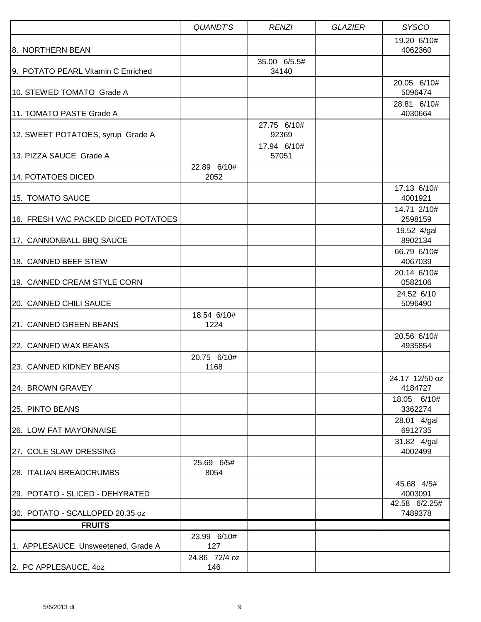|                                     | QUANDT'S             | <b>RENZI</b>          | <b>GLAZIER</b> | <b>SYSCO</b>              |
|-------------------------------------|----------------------|-----------------------|----------------|---------------------------|
| 8. NORTHERN BEAN                    |                      |                       |                | 19.20 6/10#<br>4062360    |
| 9. POTATO PEARL Vitamin C Enriched  |                      | 35.00 6/5.5#<br>34140 |                |                           |
| 10. STEWED TOMATO Grade A           |                      |                       |                | 20.05 6/10#<br>5096474    |
| 11. TOMATO PASTE Grade A            |                      |                       |                | 28.81 6/10#<br>4030664    |
| 12. SWEET POTATOES, syrup Grade A   |                      | 27.75 6/10#<br>92369  |                |                           |
| 13. PIZZA SAUCE Grade A             |                      | 17.94 6/10#<br>57051  |                |                           |
| 14. POTATOES DICED                  | 22.89 6/10#<br>2052  |                       |                |                           |
| 15. TOMATO SAUCE                    |                      |                       |                | 17.13 6/10#<br>4001921    |
| 16. FRESH VAC PACKED DICED POTATOES |                      |                       |                | 14.71 2/10#<br>2598159    |
| 17. CANNONBALL BBQ SAUCE            |                      |                       |                | 19.52 4/gal<br>8902134    |
| 18. CANNED BEEF STEW                |                      |                       |                | 66.79 6/10#<br>4067039    |
| 19. CANNED CREAM STYLE CORN         |                      |                       |                | 20.14 6/10#<br>0582106    |
| 20. CANNED CHILI SAUCE              |                      |                       |                | 24.52 6/10<br>5096490     |
| 21. CANNED GREEN BEANS              | 18.54 6/10#<br>1224  |                       |                |                           |
| 22. CANNED WAX BEANS                |                      |                       |                | 20.56 6/10#<br>4935854    |
| 123. CANNED KIDNEY BEANS            | 20.75 6/10#<br>1168  |                       |                |                           |
| 24. BROWN GRAVEY                    |                      |                       |                | 24.17 12/50 oz<br>4184727 |
| 25. PINTO BEANS                     |                      |                       |                | 18.05 6/10#<br>3362274    |
| 26. LOW FAT MAYONNAISE              |                      |                       |                | 28.01 4/gal<br>6912735    |
| 27. COLE SLAW DRESSING              |                      |                       |                | 31.82 4/gal<br>4002499    |
| 28. ITALIAN BREADCRUMBS             | 25.69 6/5#<br>8054   |                       |                |                           |
| 29. POTATO - SLICED - DEHYRATED     |                      |                       |                | 45.68 4/5#<br>4003091     |
| 30. POTATO - SCALLOPED 20.35 oz     |                      |                       |                | 42.58 6/2.25#<br>7489378  |
| <b>FRUITS</b>                       |                      |                       |                |                           |
| 1. APPLESAUCE Unsweetened, Grade A  | 23.99 6/10#<br>127   |                       |                |                           |
| 2. PC APPLESAUCE, 40Z               | 24.86 72/4 oz<br>146 |                       |                |                           |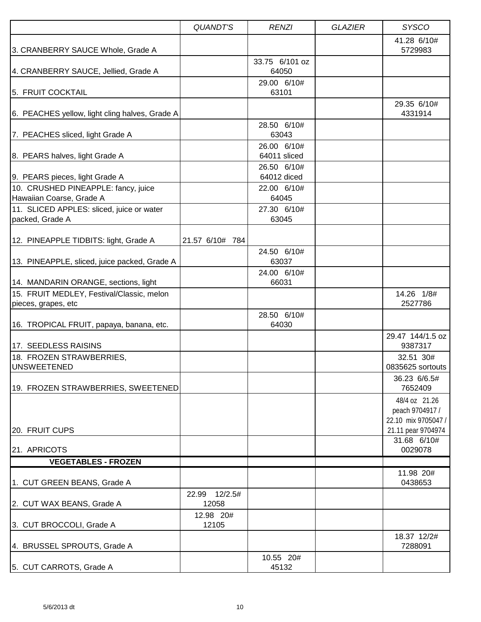|                                                                  | QUANDT'S               | <b>RENZI</b>                | <b>GLAZIER</b> | <b>SYSCO</b>                                            |
|------------------------------------------------------------------|------------------------|-----------------------------|----------------|---------------------------------------------------------|
| 3. CRANBERRY SAUCE Whole, Grade A                                |                        |                             |                | 41.28 6/10#<br>5729983                                  |
| 4. CRANBERRY SAUCE, Jellied, Grade A                             |                        | 33.75 6/101 oz<br>64050     |                |                                                         |
| 5. FRUIT COCKTAIL                                                |                        | 29.00 6/10#<br>63101        |                |                                                         |
| 6. PEACHES yellow, light cling halves, Grade A                   |                        |                             |                | 29.35 6/10#<br>4331914                                  |
| 7. PEACHES sliced, light Grade A                                 |                        | 28.50 6/10#<br>63043        |                |                                                         |
| 8. PEARS halves, light Grade A                                   |                        | 26.00 6/10#<br>64011 sliced |                |                                                         |
| 9. PEARS pieces, light Grade A                                   |                        | 26.50 6/10#<br>64012 diced  |                |                                                         |
| 10. CRUSHED PINEAPPLE: fancy, juice<br>Hawaiian Coarse, Grade A  |                        | 22.00 6/10#<br>64045        |                |                                                         |
| 11. SLICED APPLES: sliced, juice or water<br>packed, Grade A     |                        | 27.30 6/10#<br>63045        |                |                                                         |
| 12. PINEAPPLE TIDBITS: light, Grade A                            | 21.57 6/10# 784        | 24.50 6/10#                 |                |                                                         |
| 13. PINEAPPLE, sliced, juice packed, Grade A                     |                        | 63037<br>24.00 6/10#        |                |                                                         |
| 14. MANDARIN ORANGE, sections, light                             |                        | 66031                       |                |                                                         |
| 15. FRUIT MEDLEY, Festival/Classic, melon<br>pieces, grapes, etc |                        |                             |                | 14.26 1/8#<br>2527786                                   |
| 16. TROPICAL FRUIT, papaya, banana, etc.                         |                        | 28.50 6/10#<br>64030        |                |                                                         |
| 17. SEEDLESS RAISINS                                             |                        |                             |                | 29.47 144/1.5 oz<br>9387317                             |
| 18. FROZEN STRAWBERRIES,<br><b>UNSWEETENED</b>                   |                        |                             |                | 32.51 30#<br>0835625 sortouts                           |
| 19. FROZEN STRAWBERRIES, SWEETENED                               |                        |                             |                | 36.23 6/6.5#<br>7652409                                 |
|                                                                  |                        |                             |                | 48/4 oz 21.26<br>peach 9704917 /<br>22.10 mix 9705047 / |
| 20. FRUIT CUPS                                                   |                        |                             |                | 21.11 pear 9704974<br>31.68 6/10#                       |
| 21. APRICOTS                                                     |                        |                             |                | 0029078                                                 |
| <b>VEGETABLES - FROZEN</b>                                       |                        |                             |                |                                                         |
| 1. CUT GREEN BEANS, Grade A                                      |                        |                             |                | 11.98 20#<br>0438653                                    |
| 2. CUT WAX BEANS, Grade A                                        | 22.99 12/2.5#<br>12058 |                             |                |                                                         |
| 3. CUT BROCCOLI, Grade A                                         | 12.98 20#<br>12105     |                             |                |                                                         |
| 4. BRUSSEL SPROUTS, Grade A                                      |                        |                             |                | 18.37 12/2#<br>7288091                                  |
| 5. CUT CARROTS, Grade A                                          |                        | 10.55 20#<br>45132          |                |                                                         |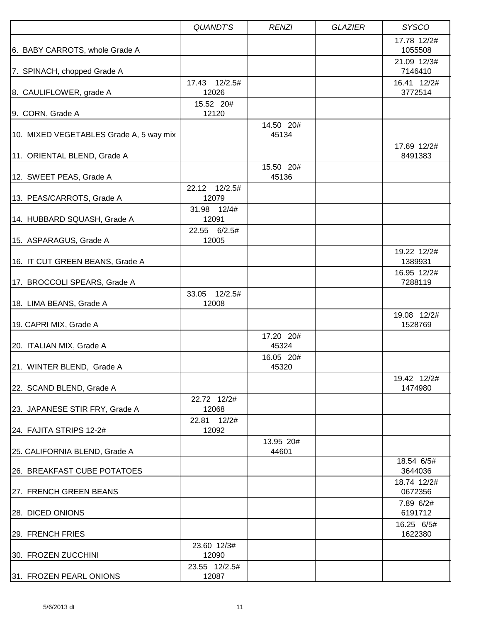|                                         | <b>QUANDT'S</b>           | <b>RENZI</b>       | <b>GLAZIER</b> | <b>SYSCO</b>                          |
|-----------------------------------------|---------------------------|--------------------|----------------|---------------------------------------|
| 6. BABY CARROTS, whole Grade A          |                           |                    |                | 17.78 12/2#<br>1055508<br>21.09 12/3# |
| 7. SPINACH, chopped Grade A             |                           |                    |                | 7146410                               |
| 8. CAULIFLOWER, grade A                 | 17.43 12/2.5#<br>12026    |                    |                | 16.41 12/2#<br>3772514                |
| 9. CORN, Grade A                        | 15.52 20#<br>12120        |                    |                |                                       |
| 10. MIXED VEGETABLES Grade A, 5 way mix |                           | 14.50 20#<br>45134 |                |                                       |
| 11. ORIENTAL BLEND, Grade A             |                           |                    |                | 17.69 12/2#<br>8491383                |
| 12. SWEET PEAS, Grade A                 |                           | 15.50 20#<br>45136 |                |                                       |
| 13. PEAS/CARROTS, Grade A               | 22.12 12/2.5#<br>12079    |                    |                |                                       |
| 14. HUBBARD SQUASH, Grade A             | 31.98 12/4#<br>12091      |                    |                |                                       |
| 15. ASPARAGUS, Grade A                  | 22.55 6/2.5#<br>12005     |                    |                |                                       |
| 16. IT CUT GREEN BEANS, Grade A         |                           |                    |                | 19.22 12/2#<br>1389931                |
| 17. BROCCOLI SPEARS, Grade A            |                           |                    |                | 16.95 12/2#<br>7288119                |
| 18. LIMA BEANS, Grade A                 | 33.05<br>12/2.5#<br>12008 |                    |                |                                       |
| 19. CAPRI MIX, Grade A                  |                           |                    |                | 19.08 12/2#<br>1528769                |
| 20. ITALIAN MIX, Grade A                |                           | 17.20 20#<br>45324 |                |                                       |
| 21. WINTER BLEND, Grade A               |                           | 16.05 20#<br>45320 |                |                                       |
| 22. SCAND BLEND, Grade A                |                           |                    |                | 19.42 12/2#<br>1474980                |
| 23. JAPANESE STIR FRY, Grade A          | 22.72 12/2#<br>12068      |                    |                |                                       |
| 24. FAJITA STRIPS 12-2#                 | 22.81 12/2#<br>12092      |                    |                |                                       |
| 25. CALIFORNIA BLEND, Grade A           |                           | 13.95 20#<br>44601 |                |                                       |
| 26. BREAKFAST CUBE POTATOES             |                           |                    |                | 18.54 6/5#<br>3644036                 |
| 27. FRENCH GREEN BEANS                  |                           |                    |                | 18.74 12/2#<br>0672356                |
| 28. DICED ONIONS                        |                           |                    |                | 7.89 6/2#<br>6191712                  |
| 29. FRENCH FRIES                        |                           |                    |                | 16.25 6/5#<br>1622380                 |
| 30. FROZEN ZUCCHINI                     | 23.60 12/3#<br>12090      |                    |                |                                       |
| 31. FROZEN PEARL ONIONS                 | 23.55 12/2.5#<br>12087    |                    |                |                                       |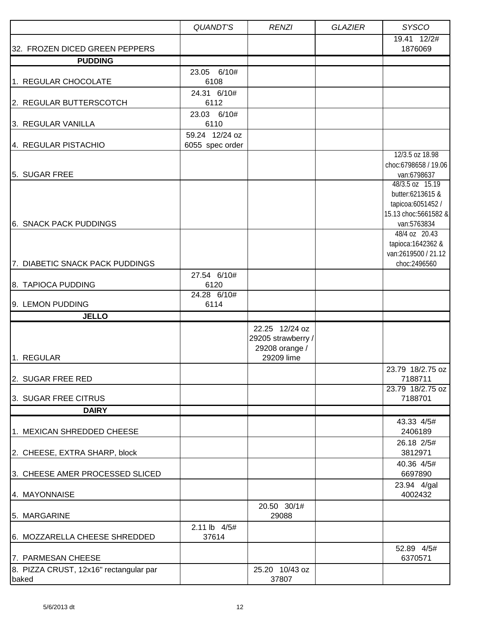|                                                 | <b>QUANDT'S</b>                    | <b>RENZI</b>                                           | <b>GLAZIER</b> | <b>SYSCO</b>                                                                                                                           |
|-------------------------------------------------|------------------------------------|--------------------------------------------------------|----------------|----------------------------------------------------------------------------------------------------------------------------------------|
| 32. FROZEN DICED GREEN PEPPERS                  |                                    |                                                        |                | 19.41 12/2#<br>1876069                                                                                                                 |
| <b>PUDDING</b>                                  |                                    |                                                        |                |                                                                                                                                        |
| 1. REGULAR CHOCOLATE                            | 23.05 6/10#<br>6108                |                                                        |                |                                                                                                                                        |
| 2. REGULAR BUTTERSCOTCH                         | 24.31 6/10#<br>6112                |                                                        |                |                                                                                                                                        |
| 3. REGULAR VANILLA                              | 23.03 6/10#<br>6110                |                                                        |                |                                                                                                                                        |
| 4. REGULAR PISTACHIO                            | 59.24 12/24 oz<br>6055 spec order  |                                                        |                |                                                                                                                                        |
| 5. SUGAR FREE                                   |                                    |                                                        |                | 12/3.5 oz 18.98<br>choc:6798658 / 19.06<br>van:6798637                                                                                 |
| 6. SNACK PACK PUDDINGS                          |                                    |                                                        |                | 48/3.5 oz 15.19<br>butter:6213615 &<br>tapicoa:6051452 /<br>15.13 choc:5661582 &<br>van:5763834<br>48/4 oz 20.43<br>tapioca: 1642362 & |
| 7. DIABETIC SNACK PACK PUDDINGS                 |                                    |                                                        |                | van:2619500 / 21.12<br>choc:2496560                                                                                                    |
| 8. TAPIOCA PUDDING                              | 27.54 6/10#<br>6120<br>24.28 6/10# |                                                        |                |                                                                                                                                        |
| 9. LEMON PUDDING                                | 6114                               |                                                        |                |                                                                                                                                        |
| <b>JELLO</b>                                    |                                    |                                                        |                |                                                                                                                                        |
|                                                 |                                    | 22.25 12/24 oz<br>29205 strawberry /<br>29208 orange / |                |                                                                                                                                        |
| 1. REGULAR                                      |                                    | 29209 lime                                             |                | 23.79 18/2.75 oz                                                                                                                       |
| 2. SUGAR FREE RED                               |                                    |                                                        |                | 7188711<br>23.79 18/2.75 oz                                                                                                            |
| 3. SUGAR FREE CITRUS                            |                                    |                                                        |                | 7188701                                                                                                                                |
| <b>DAIRY</b>                                    |                                    |                                                        |                |                                                                                                                                        |
| 1. MEXICAN SHREDDED CHEESE                      |                                    |                                                        |                | 43.33 4/5#<br>2406189                                                                                                                  |
| 2. CHEESE, EXTRA SHARP, block                   |                                    |                                                        |                | 26.18 2/5#<br>3812971                                                                                                                  |
| 3. CHEESE AMER PROCESSED SLICED                 |                                    |                                                        |                | 40.36 4/5#<br>6697890                                                                                                                  |
| 4. MAYONNAISE                                   |                                    |                                                        |                | 23.94 4/gal<br>4002432                                                                                                                 |
| 5. MARGARINE                                    |                                    | 20.50 30/1#<br>29088                                   |                |                                                                                                                                        |
| 6. MOZZARELLA CHEESE SHREDDED                   | 2.11 lb 4/5#<br>37614              |                                                        |                |                                                                                                                                        |
| 7. PARMESAN CHEESE                              |                                    |                                                        |                | 52.89 4/5#<br>6370571                                                                                                                  |
| 8. PIZZA CRUST, 12x16" rectangular par<br>baked |                                    | 25.20 10/43 oz<br>37807                                |                |                                                                                                                                        |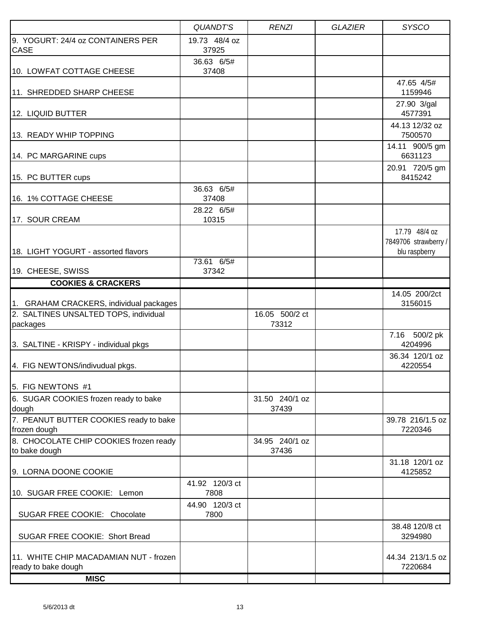|                                                               | <b>QUANDT'S</b>        | <b>RENZI</b>            | <b>GLAZIER</b> | <b>SYSCO</b>                                           |
|---------------------------------------------------------------|------------------------|-------------------------|----------------|--------------------------------------------------------|
| 9. YOGURT: 24/4 oz CONTAINERS PER<br><b>CASE</b>              | 19.73 48/4 oz<br>37925 |                         |                |                                                        |
| 10. LOWFAT COTTAGE CHEESE                                     | 36.63 6/5#<br>37408    |                         |                |                                                        |
| 11. SHREDDED SHARP CHEESE                                     |                        |                         |                | 47.65 4/5#<br>1159946                                  |
| 12. LIQUID BUTTER                                             |                        |                         |                | 27.90 3/gal<br>4577391                                 |
| 13. READY WHIP TOPPING                                        |                        |                         |                | 44.13 12/32 oz<br>7500570                              |
| 14. PC MARGARINE cups                                         |                        |                         |                | 14.11 900/5 gm<br>6631123                              |
| 15. PC BUTTER cups                                            |                        |                         |                | 20.91 720/5 gm<br>8415242                              |
| 16. 1% COTTAGE CHEESE                                         | 36.63 6/5#<br>37408    |                         |                |                                                        |
| 17. SOUR CREAM                                                | 28.22 6/5#<br>10315    |                         |                |                                                        |
| 18. LIGHT YOGURT - assorted flavors                           |                        |                         |                | 17.79 48/4 oz<br>7849706 strawberry /<br>blu raspberry |
| 19. CHEESE, SWISS                                             | 73.61 6/5#<br>37342    |                         |                |                                                        |
| <b>COOKIES &amp; CRACKERS</b>                                 |                        |                         |                |                                                        |
| 1. GRAHAM CRACKERS, individual packages                       |                        |                         |                | 14.05 200/2ct<br>3156015                               |
| 2. SALTINES UNSALTED TOPS, individual<br>packages             |                        | 16.05 500/2 ct<br>73312 |                |                                                        |
| 3. SALTINE - KRISPY - individual pkgs                         |                        |                         |                | 7.16 500/2 pk<br>4204996                               |
| 4. FIG NEWTONS/indivudual pkgs.                               |                        |                         |                | 36.34 120/1 oz<br>4220554                              |
| 15. FIG NEWTONS  #1                                           |                        |                         |                |                                                        |
| 6. SUGAR COOKIES frozen ready to bake<br>dough                |                        | 31.50 240/1 oz<br>37439 |                |                                                        |
| 7. PEANUT BUTTER COOKIES ready to bake<br>frozen dough        |                        |                         |                | 39.78 216/1.5 oz<br>7220346                            |
| 8. CHOCOLATE CHIP COOKIES frozen ready<br>to bake dough       |                        | 34.95 240/1 oz<br>37436 |                |                                                        |
| 9. LORNA DOONE COOKIE                                         |                        |                         |                | 31.18 120/1 oz<br>4125852                              |
| 10. SUGAR FREE COOKIE: Lemon                                  | 41.92 120/3 ct<br>7808 |                         |                |                                                        |
| SUGAR FREE COOKIE: Chocolate                                  | 44.90 120/3 ct<br>7800 |                         |                |                                                        |
| SUGAR FREE COOKIE: Short Bread                                |                        |                         |                | 38.48 120/8 ct<br>3294980                              |
| 11. WHITE CHIP MACADAMIAN NUT - frozen<br>ready to bake dough |                        |                         |                | 44.34 213/1.5 oz<br>7220684                            |
| <b>MISC</b>                                                   |                        |                         |                |                                                        |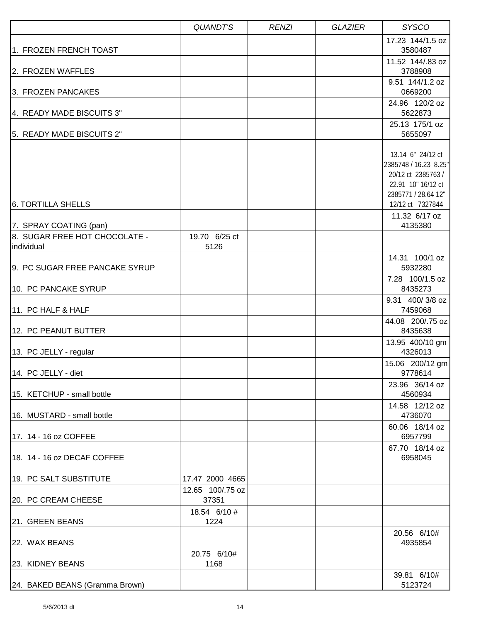|                                             | QUANDT'S                            | <b>RENZI</b> | <b>GLAZIER</b> | <b>SYSCO</b>                                                                                                  |
|---------------------------------------------|-------------------------------------|--------------|----------------|---------------------------------------------------------------------------------------------------------------|
| 1. FROZEN FRENCH TOAST                      |                                     |              |                | 17.23 144/1.5 oz<br>3580487                                                                                   |
| 2. FROZEN WAFFLES                           |                                     |              |                | 11.52 144/.83 oz<br>3788908                                                                                   |
| 3. FROZEN PANCAKES                          |                                     |              |                | 9.51 144/1.2 oz<br>0669200                                                                                    |
| 4. READY MADE BISCUITS 3"                   |                                     |              |                | 24.96 120/2 oz<br>5622873                                                                                     |
| 5. READY MADE BISCUITS 2"                   |                                     |              |                | 25.13 175/1 oz<br>5655097                                                                                     |
|                                             |                                     |              |                | 13.14 6" 24/12 ct<br>2385748 / 16.23 8.25"<br>20/12 ct 2385763 /<br>22.91 10" 16/12 ct<br>2385771 / 28.64 12" |
| <b>6. TORTILLA SHELLS</b>                   |                                     |              |                | 12/12 ct 7327844                                                                                              |
| 7. SPRAY COATING (pan)                      |                                     |              |                | 11.32 6/17 oz<br>4135380                                                                                      |
| 8. SUGAR FREE HOT CHOCOLATE -<br>individual | 19.70 6/25 ct<br>5126               |              |                |                                                                                                               |
| 9. PC SUGAR FREE PANCAKE SYRUP              |                                     |              |                | 14.31 100/1 oz<br>5932280                                                                                     |
| 10. PC PANCAKE SYRUP                        |                                     |              |                | 7.28 100/1.5 oz<br>8435273                                                                                    |
| 11. PC HALF & HALF                          |                                     |              |                | 9.31 400/3/8 oz<br>7459068                                                                                    |
| 12. PC PEANUT BUTTER                        |                                     |              |                | 44.08 200/.75 oz<br>8435638                                                                                   |
| 13. PC JELLY - regular                      |                                     |              |                | 13.95 400/10 gm<br>4326013                                                                                    |
| 14. PC JELLY - diet                         |                                     |              |                | 15.06 200/12 gm<br>9778614                                                                                    |
| 15. KETCHUP - small bottle                  |                                     |              |                | 23.96 36/14 oz<br>4560934                                                                                     |
| 16. MUSTARD - small bottle                  |                                     |              |                | 14.58 12/12 oz<br>4736070                                                                                     |
| 17. 14 - 16 oz COFFEE                       |                                     |              |                | 60.06 18/14 oz<br>6957799                                                                                     |
| 18. 14 - 16 oz DECAF COFFEE                 |                                     |              |                | 67.70 18/14 oz<br>6958045                                                                                     |
| 19. PC SALT SUBSTITUTE                      | 17.47 2000 4665<br>12.65 100/.75 oz |              |                |                                                                                                               |
| 20. PC CREAM CHEESE                         | 37351                               |              |                |                                                                                                               |
| 21. GREEN BEANS                             | 18.54 6/10 #<br>1224                |              |                |                                                                                                               |
| 22. WAX BEANS                               |                                     |              |                | 20.56 6/10#<br>4935854                                                                                        |
| 23. KIDNEY BEANS                            | 20.75 6/10#<br>1168                 |              |                |                                                                                                               |
| 24. BAKED BEANS (Gramma Brown)              |                                     |              |                | 39.81 6/10#<br>5123724                                                                                        |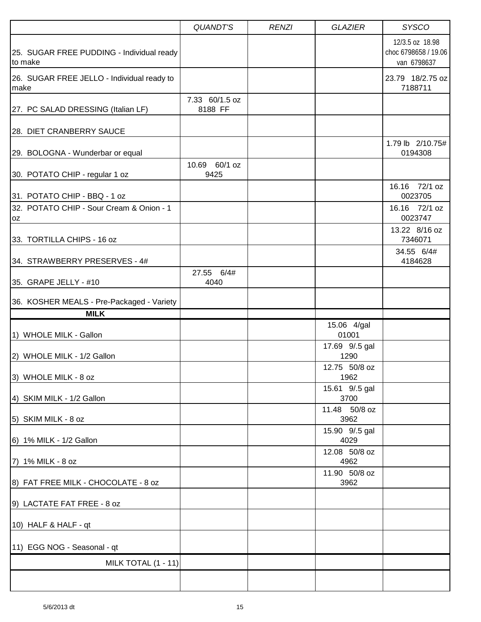|                                                      | <b>QUANDT'S</b>           | <b>RENZI</b> | <b>GLAZIER</b>         | <b>SYSCO</b>                                           |
|------------------------------------------------------|---------------------------|--------------|------------------------|--------------------------------------------------------|
| 25. SUGAR FREE PUDDING - Individual ready<br>to make |                           |              |                        | 12/3.5 oz 18.98<br>choc 6798658 / 19.06<br>van 6798637 |
| 26. SUGAR FREE JELLO - Individual ready to<br>make   |                           |              |                        | 23.79 18/2.75 oz<br>7188711                            |
| 27. PC SALAD DRESSING (Italian LF)                   | 7.33 60/1.5 oz<br>8188 FF |              |                        |                                                        |
| 28. DIET CRANBERRY SAUCE                             |                           |              |                        |                                                        |
| 29. BOLOGNA - Wunderbar or equal                     |                           |              |                        | 1.79 lb 2/10.75#<br>0194308                            |
| 30. POTATO CHIP - regular 1 oz                       | 10.69 60/1 oz<br>9425     |              |                        |                                                        |
| 31. POTATO CHIP - BBQ - 1 oz                         |                           |              |                        | 16.16 72/1 oz<br>0023705                               |
| 32. POTATO CHIP - Sour Cream & Onion - 1<br>0Z       |                           |              |                        | 16.16 72/1 oz<br>0023747                               |
| 33. TORTILLA CHIPS - 16 oz                           |                           |              |                        | 13.22 8/16 oz<br>7346071                               |
| 34. STRAWBERRY PRESERVES - 4#                        |                           |              |                        | 34.55 6/4#<br>4184628                                  |
| 35. GRAPE JELLY - #10                                | 27.55 6/4#<br>4040        |              |                        |                                                        |
| 36. KOSHER MEALS - Pre-Packaged - Variety            |                           |              |                        |                                                        |
| <b>MILK</b>                                          |                           |              |                        |                                                        |
| 1) WHOLE MILK - Gallon                               |                           |              | 15.06 4/gal<br>01001   |                                                        |
| 2) WHOLE MILK - 1/2 Gallon                           |                           |              | 17.69 9/.5 gal<br>1290 |                                                        |
| 3) WHOLE MILK - 8 oz                                 |                           |              | 12.75 50/8 oz<br>1962  |                                                        |
| 4) SKIM MILK - 1/2 Gallon                            |                           |              | 15.61 9/.5 gal<br>3700 |                                                        |
| 5) SKIM MILK - 8 oz                                  |                           |              | 11.48 50/8 oz<br>3962  |                                                        |
| 6) 1% MILK - 1/2 Gallon                              |                           |              | 15.90 9/.5 gal<br>4029 |                                                        |
| 7) 1% MILK - 8 oz                                    |                           |              | 12.08 50/8 oz<br>4962  |                                                        |
| 8) FAT FREE MILK - CHOCOLATE - 8 oz                  |                           |              | 11.90 50/8 oz<br>3962  |                                                        |
| 9) LACTATE FAT FREE - 8 oz                           |                           |              |                        |                                                        |
| 10) HALF & HALF - qt                                 |                           |              |                        |                                                        |
| 11) EGG NOG - Seasonal - qt                          |                           |              |                        |                                                        |
| MILK TOTAL (1 - 11)                                  |                           |              |                        |                                                        |
|                                                      |                           |              |                        |                                                        |